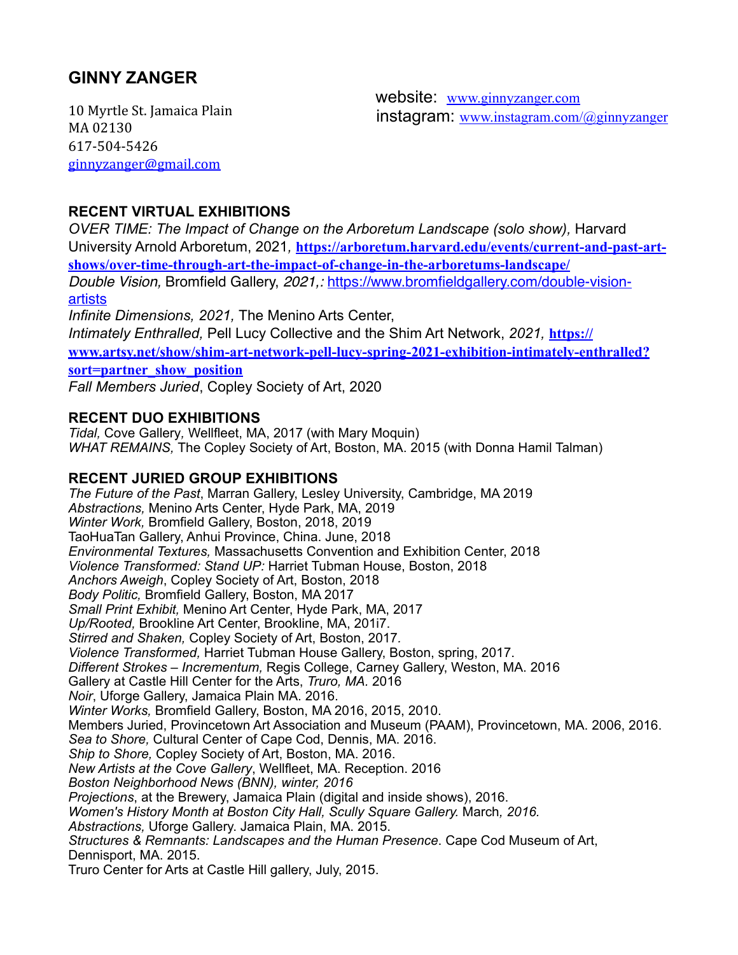## **GINNY ZANGER**

10 Myrtle St. Jamaica Plain MA 02130 617-504-5426 [ginnyzanger@gmail.com](mailto:ginnyzanger@gmail.com)

 website: [www.ginnyzanger.com](http://www.ginnyzanger.com) instagram: [www.instagram.com/@ginnyzanger](http://www.instagram.com/@ginnyzanger)

## **RECENT VIRTUAL EXHIBITIONS**

*OVER TIME: The Impact of Change on the Arboretum Landscape (solo show), Harvard* University Arnold Arboretum, 2021*,* **[https://arboretum.harvard.edu/events/current-and-past-art](https://arboretum.harvard.edu/events/current-and-past-art-shows/over-time-through-art-the-impact-of-change-in-the-arboretums-landscape/)[shows/over-time-through-art-the-impact-of-change-in-the-arboretums-landscape/](https://arboretum.harvard.edu/events/current-and-past-art-shows/over-time-through-art-the-impact-of-change-in-the-arboretums-landscape/)**

*Double Vision,* Bromfield Gallery, *2021,:* [https://www.bromfieldgallery.com/double-vision](https://www.bromfieldgallery.com/double-vision-artists)[artists](https://www.bromfieldgallery.com/double-vision-artists)

*Infinite Dimensions, 2021,* The Menino Arts Center, *Intimately Enthralled,* Pell Lucy Collective and the Shim Art Network, *2021,* **[https://](https://www.artsy.net/show/shim-art-network-pell-lucy-spring-2021-exhibition-intimately-enthralled?sort=partner_show_position) [www.artsy.net/show/shim-art-network-pell-lucy-spring-2021-exhibition-intimately-enthralled?](https://www.artsy.net/show/shim-art-network-pell-lucy-spring-2021-exhibition-intimately-enthralled?sort=partner_show_position) [sort=partner\\_show\\_position](https://www.artsy.net/show/shim-art-network-pell-lucy-spring-2021-exhibition-intimately-enthralled?sort=partner_show_position)** *Fall Members Juried*, Copley Society of Art, 2020

# **RECENT DUO EXHIBITIONS**

*Tidal,* Cove Gallery*,* Wellfleet, MA, 2017 (with Mary Moquin) *WHAT REMAINS,* The Copley Society of Art, Boston, MA. 2015 (with Donna Hamil Talman)

## **RECENT JURIED GROUP EXHIBITIONS**

*The Future of the Past*, Marran Gallery, Lesley University, Cambridge, MA 2019 *Abstractions,* Menino Arts Center, Hyde Park, MA, 2019 *Winter Work,* Bromfield Gallery, Boston, 2018, 2019 TaoHuaTan Gallery, Anhui Province, China. June, 2018 *Environmental Textures,* Massachusetts Convention and Exhibition Center, 2018 *Violence Transformed: Stand UP:* Harriet Tubman House, Boston, 2018 *Anchors Aweigh*, Copley Society of Art, Boston, 2018 *Body Politic,* Bromfield Gallery, Boston, MA 2017 *Small Print Exhibit,* Menino Art Center, Hyde Park, MA, 2017 *Up/Rooted,* Brookline Art Center, Brookline, MA, 201i7. *Stirred and Shaken,* Copley Society of Art, Boston, 2017*. Violence Transformed,* Harriet Tubman House Gallery, Boston, spring, 2017. *Different Strokes – Incrementum,* Regis College, Carney Gallery, Weston, MA. 2016 Gallery at Castle Hill Center for the Arts, *Truro, MA.* 2016 *Noir*, Uforge Gallery, Jamaica Plain MA. 2016. *Winter Works,* Bromfield Gallery, Boston, MA 2016, 2015, 2010. Members Juried, Provincetown Art Association and Museum (PAAM), Provincetown, MA. 2006, 2016. *Sea to Shore,* Cultural Center of Cape Cod, Dennis, MA. 2016. *Ship to Shore,* Copley Society of Art, Boston, MA. 2016. *New Artists at the Cove Gallery*, Wellfleet, MA. Reception. 2016 *Boston Neighborhood News (BNN), winter, 2016 Projections*, at the Brewery, Jamaica Plain (digital and inside shows), 2016. *Women's History Month at Boston City Hall, Scully Square Gallery.* March*, 2016. Abstractions,* Uforge Gallery. Jamaica Plain, MA. 2015. *Structures & Remnants: Landscapes and the Human Presence*. Cape Cod Museum of Art, Dennisport, MA. 2015. Truro Center for Arts at Castle Hill gallery, July, 2015.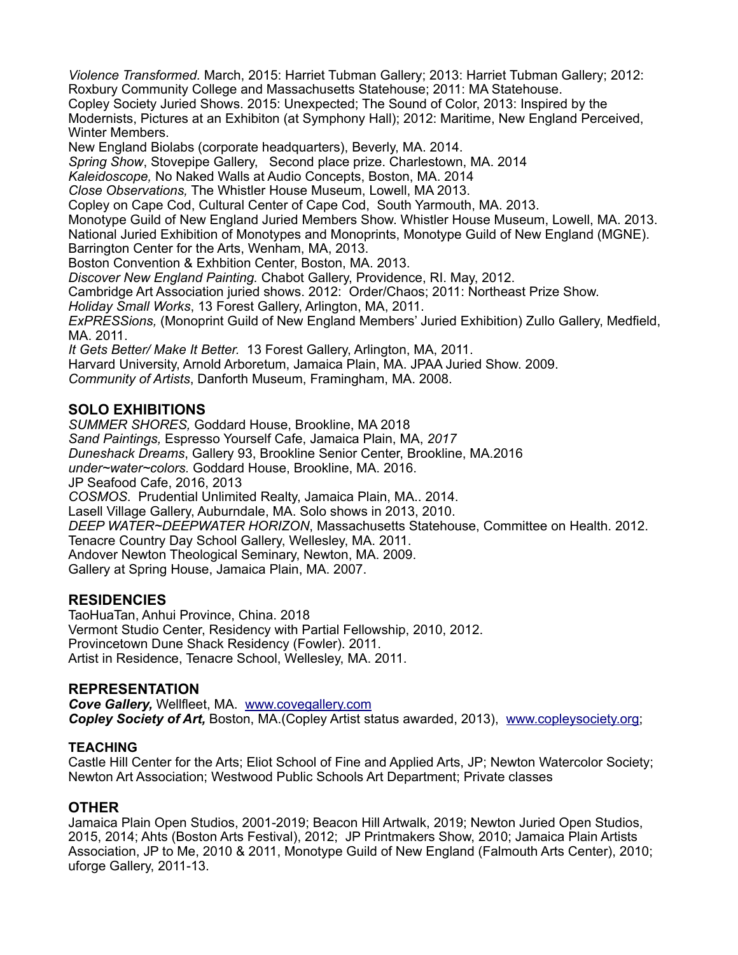*Violence Transformed.* March, 2015: Harriet Tubman Gallery; 2013: Harriet Tubman Gallery; 2012: Roxbury Community College and Massachusetts Statehouse; 2011: MA Statehouse. Copley Society Juried Shows. 2015: Unexpected; The Sound of Color, 2013: Inspired by the Modernists, Pictures at an Exhibiton (at Symphony Hall); 2012: Maritime, New England Perceived, Winter Members. New England Biolabs (corporate headquarters), Beverly, MA. 2014.

*Spring Show*, Stovepipe Gallery, Second place prize. Charlestown, MA. 2014

*Kaleidoscope,* No Naked Walls at Audio Concepts, Boston, MA. 2014

*Close Observations,* The Whistler House Museum, Lowell, MA 2013.

Copley on Cape Cod, Cultural Center of Cape Cod, South Yarmouth, MA. 2013.

Monotype Guild of New England Juried Members Show. Whistler House Museum, Lowell, MA. 2013.

National Juried Exhibition of Monotypes and Monoprints, Monotype Guild of New England (MGNE).

Barrington Center for the Arts, Wenham, MA, 2013.

Boston Convention & Exhbition Center, Boston, MA. 2013.

*Discover New England Painting.* Chabot Gallery, Providence, RI. May, 2012.

Cambridge Art Association juried shows. 2012: Order/Chaos; 2011: Northeast Prize Show.

*Holiday Small Works*, 13 Forest Gallery, Arlington, MA, 2011.

*ExPRESSions,* (Monoprint Guild of New England Members' Juried Exhibition) Zullo Gallery, Medfield, MA. 2011.

*It Gets Better/ Make It Better.* 13 Forest Gallery, Arlington, MA, 2011.

Harvard University, Arnold Arboretum, Jamaica Plain, MA. JPAA Juried Show. 2009.

*Community of Artists*, Danforth Museum, Framingham, MA. 2008.

## **SOLO EXHIBITIONS**

*SUMMER SHORES,* Goddard House, Brookline, MA 2018 *Sand Paintings,* Espresso Yourself Cafe, Jamaica Plain, MA, *2017 Duneshack Dreams*, Gallery 93, Brookline Senior Center, Brookline, MA.2016 *under~water~colors.* Goddard House, Brookline, MA. 2016. JP Seafood Cafe, 2016, 2013 *COSMOS*. Prudential Unlimited Realty, Jamaica Plain, MA.. 2014. Lasell Village Gallery, Auburndale, MA. Solo shows in 2013, 2010. *DEEP WATER~DEEPWATER HORIZON*, Massachusetts Statehouse, Committee on Health. 2012. Tenacre Country Day School Gallery, Wellesley, MA. 2011. Andover Newton Theological Seminary, Newton, MA. 2009. Gallery at Spring House, Jamaica Plain, MA. 2007.

## **RESIDENCIES**

TaoHuaTan, Anhui Province, China. 2018 Vermont Studio Center, Residency with Partial Fellowship, 2010, 2012. Provincetown Dune Shack Residency (Fowler). 2011. Artist in Residence, Tenacre School, Wellesley, MA. 2011.

#### **REPRESENTATION**

*Cove Gallery,* Wellfleet, MA. [www.covegallery.com](http://www.covegallery.com/) *Copley Society of Art,* Boston, MA.(Copley Artist status awarded, 2013), [www.copleysociety.org](http://www.copleysociety.org/);

#### **TEACHING**

Castle Hill Center for the Arts; Eliot School of Fine and Applied Arts, JP; Newton Watercolor Society; Newton Art Association; Westwood Public Schools Art Department; Private classes

## **OTHER**

Jamaica Plain Open Studios, 2001-2019; Beacon Hill Artwalk, 2019; Newton Juried Open Studios, 2015, 2014; Ahts (Boston Arts Festival), 2012; JP Printmakers Show, 2010; Jamaica Plain Artists Association, JP to Me, 2010 & 2011, Monotype Guild of New England (Falmouth Arts Center), 2010; uforge Gallery, 2011-13.